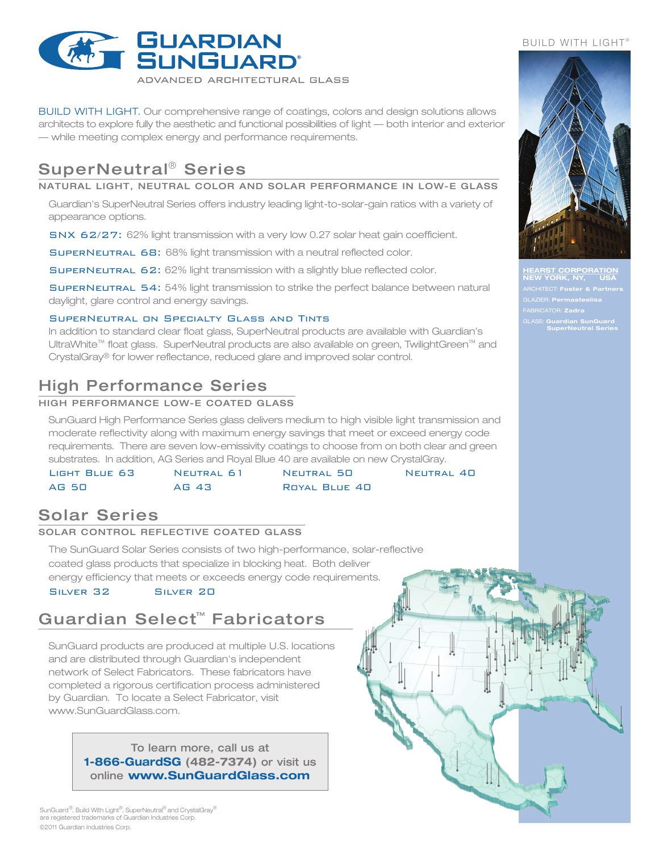

BUILD WITH LIGHT. Our comprehensive range of coatings, colors and design solutions allows architects to explore fully the aesthetic and functional possibilities of light — both interior and exterior — while meeting complex energy and performance requirements.

# SuperNeutral ® Series

NATURAL LIGHT, NEUTRAL COLOR AND SOLAR PERFORMANCE IN LOW-E GLASS

Guardian's SuperNeutral Series offers industry leading light-to-solar-gain ratios with a variety of appearance options.

SNX 62/27: 62% light transmission with a very low 0.27 solar heat gain coefficient.

SuperNeutral 68: 68% light transmission with a neutral reflected color.

SuperNeutral 62: 62% light transmission with a slightly blue reflected color.

SuperNeutral 54: 54% light transmission to strike the perfect balance between natural daylight, glare control and energy savings.

### SuperNeutral on Specialty Glass and Tints

In addition to standard clear float glass, SuperNeutral products are available with Guardian's UltraWhite™ float glass. SuperNeutral products are also available on green, TwilightGreen™ and CrystalGray® for lower reflectance, reduced glare and improved solar control.

## High Performance Series

### HIGH PERFORMANCE LOW-E COATED GLASS

SunGuard High Performance Series glass delivers medium to high visible light transmission and moderate reflectivity along with maximum energy savings that meet or exceed energy code requirements. There are seven low-emissivity coatings to choose from on both clear and green substrates. In addition, AG Series and Royal Blue 40 are available on new CrystalGray.

| LIGHT BLUE 63 | NEUTRAL 61 | NEUTRAL 50    | NEUTRAL 40 |
|---------------|------------|---------------|------------|
| AG 50         | AG 43      | ROYAL BLUE 40 |            |

### Solar Series

### SOLAR CONTROL REFLECTIVE COATED GLASS

The SunGuard Solar Series consists of two high-performance, solar-reflective coated glass products that specialize in blocking heat. Both deliver energy efficiency that meets or exceeds energy code requirements. Silver 32 Silver 20

## Guardian Select™ Fabricators

SunGuard products are produced at multiple U.S. locations and are distributed through Guardian's independent network of Select Fabricators. These fabricators have completed a rigorous certification process administered by Guardian. To locate a Select Fabricator, visit www.SunGuardGlass.com.

> To learn more, call us at **1-866-GuardSG (482-7374)** or visit us online **www.SunGuardGlass.com**





**HST CORPORATION NEW YORK, NY, USA** ARCHITECT: **Foster & Partners** GLAZIER: **Permasteelisa** FABRICATOR: **Zadra** GLASS: **Guardian SunGuard SuperNeutral Series**